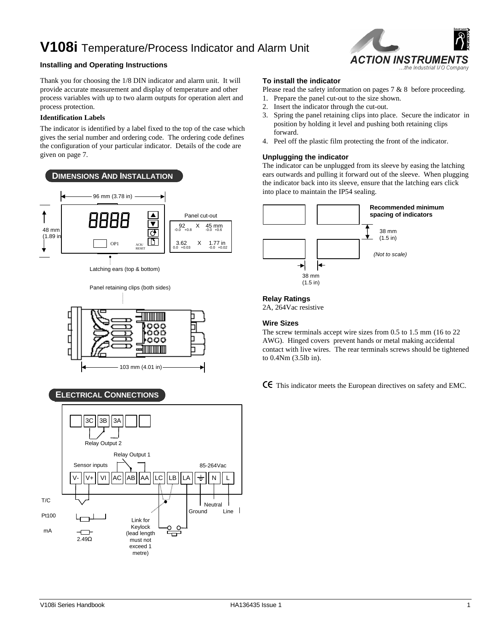## **V108i** Temperature/Process Indicator and Alarm Unit

#### **Installing and Operating Instructions**

Thank you for choosing the 1/8 DIN indicator and alarm unit. It will provide accurate measurement and display of temperature and other process variables with up to two alarm outputs for operation alert and process protection.

#### **Identification Labels**

The indicator is identified by a label fixed to the top of the case which gives the serial number and ordering code. The ordering code defines the configuration of your particular indicator. Details of the code are given on page 7.



#### **ELECTRICAL CONNECTIONS**



# ACTION INSTRUMEN ...the Industrial I/O Company

#### **To install the indicator**

- Please read the safety information on pages 7 & 8 before proceeding.
- 1. Prepare the panel cut-out to the size shown.
- 2. Insert the indicator through the cut-out.
- 3. Spring the panel retaining clips into place. Secure the indicator in position by holding it level and pushing both retaining clips forward.
- 4. Peel off the plastic film protecting the front of the indicator.

#### **Unplugging the indicator**

The indicator can be unplugged from its sleeve by easing the latching ears outwards and pulling it forward out of the sleeve. When plugging the indicator back into its sleeve, ensure that the latching ears click into place to maintain the IP54 sealing.



#### **Relay Ratings**

2A, 264Vac resistive

#### **Wire Sizes**

The screw terminals accept wire sizes from 0.5 to 1.5 mm (16 to 22 AWG). Hinged covers prevent hands or metal making accidental contact with live wires. The rear terminals screws should be tightened to 0.4Nm (3.5lb in).

CE This indicator meets the European directives on safety and EMC.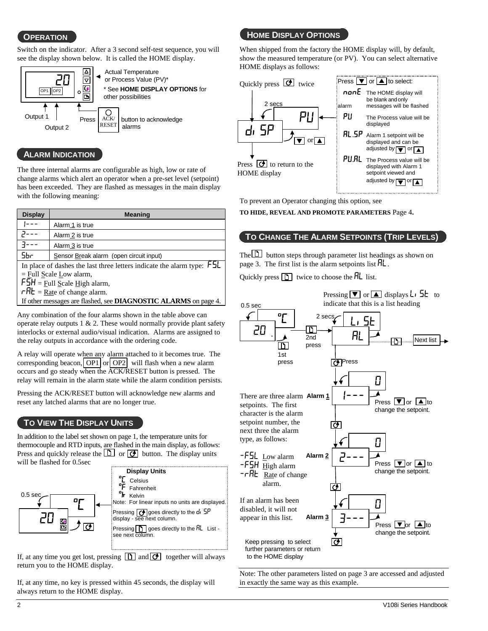Switch on the indicator. After a 3 second self-test sequence, you will see the display shown below. It is called the HOME display.



#### **ALARM INDICATION**

The three internal alarms are configurable as high, low or rate of change alarms which alert an operator when a pre-set level (setpoint) has been exceeded. They are flashed as messages in the main display with the following meaning:

| <b>Display</b>                                                  | <b>Meaning</b>                                                                             |  |  |  |  |
|-----------------------------------------------------------------|--------------------------------------------------------------------------------------------|--|--|--|--|
|                                                                 | Alarm 1 is true                                                                            |  |  |  |  |
|                                                                 | Alarm 2 is true                                                                            |  |  |  |  |
|                                                                 | Alarm 3 is true                                                                            |  |  |  |  |
| 5br                                                             | Sensor Break alarm (open circuit input)                                                    |  |  |  |  |
|                                                                 | In place of dashes the last three letters indicate the alarm type: $\overline{\mathsf{L}}$ |  |  |  |  |
|                                                                 | $=$ Eull Scale Low alarm,                                                                  |  |  |  |  |
| $FSH = \underline{Full} Scale High alarm,$                      |                                                                                            |  |  |  |  |
| $r$ $H$ <b>E</b> = <u>Rate</u> of change alarm.                 |                                                                                            |  |  |  |  |
| If other messages are flashed, see DIAGNOSTIC ALARMS on page 4. |                                                                                            |  |  |  |  |

Any combination of the four alarms shown in the table above can operate relay outputs  $1 \& 2$ . These would normally provide plant safety interlocks or external audio/visual indication. Alarms are assigned to the relay outputs in accordance with the ordering code.

A relay will operate when any alarm attached to it becomes true. The corresponding beacon,  $\text{OP1}$  or  $\text{OP2}$  will flash when a new alarm occurs and go steady when the ACK/RESET button is pressed. The relay will remain in the alarm state while the alarm condition persists.

Pressing the ACK/RESET button will acknowledge new alarms and reset any latched alarms that are no longer true.

#### **TO VIEW THE DISPLAY UNITS**

In addition to the label set shown on page 1, the temperature units for thermocouple and RTD inputs, are flashed in the main display, as follows: Press and quickly release the  $\Box$  or  $\Box$  button. The display units will be flashed for 0.5sec



If, at any time you get lost, pressing  $\boxed{B}$  and  $\boxed{O}$  together will always return you to the HOME display.

If, at any time, no key is pressed within 45 seconds, the display will always return to the HOME display.

### **OPERATION**

When shipped from the factory the HOME display will, by default, show the measured temperature (or PV). You can select alternative HOME displays as follows:



To prevent an Operator changing this option, see

**TO HIDE, REVEAL AND PROMOTE PARAMETERS** Page 4**.**

#### **TO CHANGE THE ALARM SETPOINTS (TRIP LEVELS)**

The  $\Box$  button steps through parameter list headings as shown on page 3. The first list is the alarm setpoints list  $\mathsf{HL}$ .

Quickly press  $\boxed{\uparrow}$  twice to choose the  $\overline{\mathsf{HL}}$  list.



Note: The other parameters listed on page 3 are accessed and adjusted in exactly the same way as this example.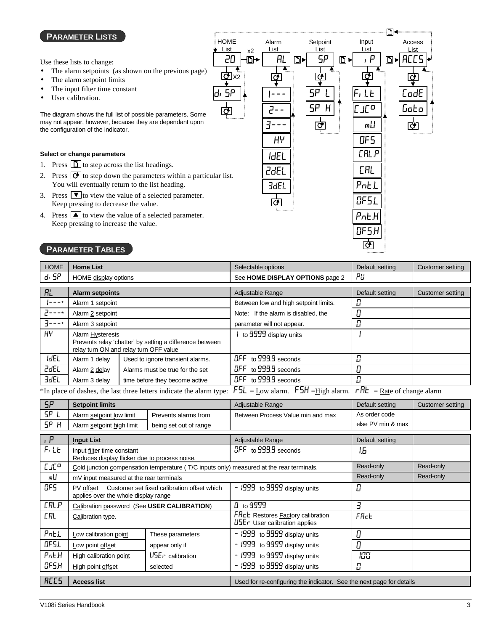#### **PARAMETER LISTS**

Use these lists to change:

- The alarm setpoints (as shown on the previous page)
- The alarm setpoint limits
- The input filter time constant
- User calibration.

The diagram shows the full list of possible parameters. Some may not appear, however, because they are dependant upon the configuration of the indicator.

#### **Select or change parameters**

- 1. Press  $\boxed{\Box}$  to step across the list headings.
- 2. Press  $\overline{C}$  to step down the parameters within a particular list. You will eventually return to the list heading.
- 3. Press  $\blacktriangledown$  to view the value of a selected parameter. Keep pressing to decrease the value.
- 4. Press  $\Box$  to view the value of a selected parameter. Keep pressing to increase the value.

#### **PARAMETER TABLES**

| <b>HOME</b> | <b>Home List</b>                                                                                                       |                                                                           | Selectable options                                       | Default setting                                                     | Customer setting |
|-------------|------------------------------------------------------------------------------------------------------------------------|---------------------------------------------------------------------------|----------------------------------------------------------|---------------------------------------------------------------------|------------------|
| d, 5P       | HOME display options                                                                                                   |                                                                           | See HOME DISPLAY OPTIONS page 2                          | PU                                                                  |                  |
| RL          | <b>Alarm setpoints</b>                                                                                                 |                                                                           | Adjustable Range                                         | Default setting                                                     | Customer setting |
| $ -----$    | Alarm 1 setpoint                                                                                                       |                                                                           | Between low and high setpoint limits.                    |                                                                     |                  |
| ۰- - - 7    | Alarm 2 setpoint                                                                                                       |                                                                           | Note: If the alarm is disabled, the                      |                                                                     |                  |
| $3 - - -*$  | Alarm 3 setpoint                                                                                                       |                                                                           | parameter will not appear.                               |                                                                     |                  |
| H۲          | Alarm Hysteresis<br>Prevents relay 'chatter' by setting a difference between<br>relay turn ON and relay turn OFF value |                                                                           | to 9999 display units                                    |                                                                     |                  |
| <b>IdEL</b> | Alarm 1 delay                                                                                                          | Used to ignore transient alarms.                                          | OFF to 999.9 seconds                                     |                                                                     |                  |
| <b>2dEL</b> | Alarm 2 delay                                                                                                          | Alarms must be true for the set                                           | OFF to 999.9 seconds                                     |                                                                     |                  |
| <b>3dEL</b> | Alarm 3 delay                                                                                                          | time before they become active                                            | OFF to 999.9 seconds                                     |                                                                     |                  |
|             |                                                                                                                        | φτουρίου ο βρίσκεται της του επίσκεται του του του του επιστοποιού του επ | $EC = 1.1$<br>ccu<br>$T$ $T$ $T$ $T$ $T$ $T$ $T$ $T$ $T$ | ᅩᄆᄂ<br>$\mathbf{D}_{\text{max}} = \mathbf{C} \cdot \mathbf{1}$ . 1. |                  |

\*In place of dashes, the last three letters indicate the alarm type:  $FSL = Low$  alarm.  $FSH = High$  alarm.  $rHE = Rate$  of change alarm

| <b>SP</b>        | Setpoint limits                                                             |                                                       | Adjustable Range                                                                         | Default setting   | Customer setting |
|------------------|-----------------------------------------------------------------------------|-------------------------------------------------------|------------------------------------------------------------------------------------------|-------------------|------------------|
| SP <sub>L</sub>  | Alarm setpoint low limit                                                    | Prevents alarms from                                  | Between Process Value min and max                                                        | As order code     |                  |
| SP H             | Alarm setpoint high limit                                                   | being set out of range                                |                                                                                          | else PV min & max |                  |
| , P              | <b>Input List</b>                                                           |                                                       | Adjustable Range                                                                         | Default setting   |                  |
| F, L             | Input filter time constant<br>Reduces display flicker due to process noise. |                                                       | $I$ GFF to 999.9 seconds                                                                 | 1.6               |                  |
| LLE <sub>a</sub> |                                                                             |                                                       | Cold junction compensation temperature (T/C inputs only) measured at the rear terminals. | Read-only         | Read-only        |
| m∐               | mV input measured at the rear terminals                                     |                                                       |                                                                                          | Read-only         | Read-only        |
| OF S             | applies over the whole display range                                        | PV offset Customer set fixed calibration offset which | - 1999 to 9999 display units                                                             | 0                 |                  |
| <b>CALP</b>      | Calibration password (See USER CALIBRATION)                                 |                                                       | $0_{\rm to}$ 9999                                                                        | E                 |                  |
| [RL              | Calibration type.                                                           |                                                       | <b>FRcL</b> Restores <b>Factory</b> calibration<br>USEr User calibration applies         | FRct              |                  |
| PnEL             | Low calibration point                                                       | These parameters                                      | - I999 to 9999 display units                                                             | 0                 |                  |
| OF S.L           | Low point offset<br>appear only if                                          |                                                       | - I999 to 9999 display units                                                             | Ω                 |                  |
| PnEH             | High calibration point                                                      | $U$ 5 $E$ r calibration                               | - 1999 to 9999 display units                                                             | 100               |                  |
| OFSH             | High point offset                                                           | selected                                              | - 1999 to 9999 display units                                                             | П                 |                  |
| <b>ACCS</b>      | <b>Access list</b>                                                          |                                                       | Used for re-configuring the indicator. See the next page for details                     |                   |                  |

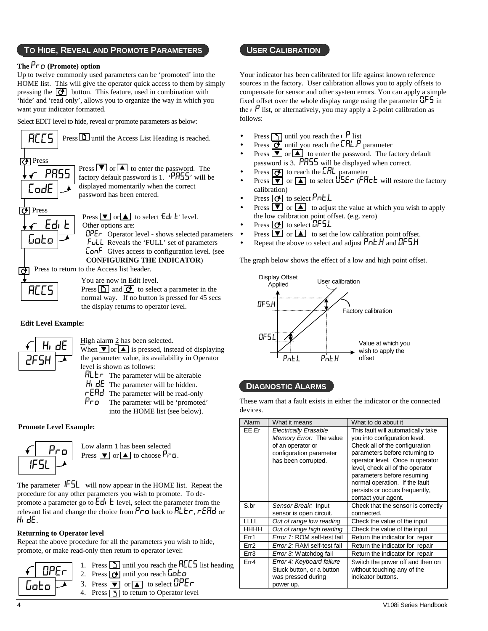#### **TO HIDE, REVEAL AND PROMOTE PARAMETERS USER CALIBRATION**

#### **The** Pro **(Promote) option**

Up to twelve commonly used parameters can be 'promoted' into the HOME list. This will give the operator quick access to them by simply pressing the  $\boxed{\bullet}$  button. This feature, used in combination with 'hide' and 'read only', allows you to organize the way in which you want your indicator formatted.

Select EDIT level to hide, reveal or promote parameters as below:



ों



You are now in Edit level. Press  $\boxed{D}$  and  $\boxed{C}$  to select a parameter in the normal way. If no button is pressed for 45 secs

#### **Edit Level Example:**



High alarm 2 has been selected.

the display returns to operator level.

When  $\boxed{\blacktriangledown}$  or  $\boxed{\blacktriangle}$  is pressed, instead of displaying the parameter value, its availability in Operator level is shown as follows:

- $HLE \tau$  The parameter will be alterable
- $H_1$  dE The parameter will be hidden.
- $\mathsf{r}\mathsf{E}\mathsf{H}\mathsf{d}\mathsf{I}$  The parameter will be read-only
- Pro The parameter will be 'promoted' into the HOME list (see below).

#### **Promote Level Example:**



The parameter  $IFSL$  will now appear in the HOME list. Repeat the procedure for any other parameters you wish to promote. To depromote a parameter go to  $Ed_1$  **L** level, select the parameter from the relevant list and change the choice from  $P \Gamma \Box$  back to  $H \bot \Gamma$ ,  $\Gamma$ EA $\Box$  or HidE.

#### **Returning to Operator level**

Repeat the above procedure for all the parameters you wish to hide, promote, or make read-only then return to operator level:



Your indicator has been calibrated for life against known reference sources in the factory. User calibration allows you to apply offsets to compensate for sensor and other system errors. You can apply a simple fixed offset over the whole display range using the parameter  $\mathsf{QFS}$  in the  $\mathfrak{p}$  list, or alternatively, you may apply a 2-point calibration as follows:

- Press  $\boxed{\uparrow}$  until you reach the  $\vert P \vert$  list
- Press  $\overline{O}$  until you reach the  $\text{LRLP}$  parameter
- Press  $\bullet$  or  $\bullet$  to enter the password. The factory default password is 3. PASS will be displayed when correct.
- Press  $\overline{(\cdot)}$  to reach the **CAL** parameter
- Press  $\overline{|\mathbf{v}|}$  or  $\boxed{\blacktriangle}$  to select  $\overline{\mathsf{U}}$  SEr (FRc k will restore the factory calibration)
- Press  $\Theta$  to select Pnt.L
- **Press**  $\overline{\bullet}$  or  $\overline{\bullet}$  to adjust the value at which you wish to apply the low calibration point offset. (e.g. zero)
- Press  $\overline{G}$  to select **OF5.L**
- **Press**  $\bullet$  or  $\bullet$  to set the low calibration point offset.
- Repeat the above to select and adjust  $PnEH$  and  $DF5H$

The graph below shows the effect of a low and high point offset.



#### **DIAGNOSTIC ALARMS**

These warn that a fault exists in either the indicator or the connected devices.

| Alarm       | What it means                                                                                                                  | What to do about it                                                                                                                                                                                                                                                                                                                      |
|-------------|--------------------------------------------------------------------------------------------------------------------------------|------------------------------------------------------------------------------------------------------------------------------------------------------------------------------------------------------------------------------------------------------------------------------------------------------------------------------------------|
| EE.Er       | <b>Electrically Erasable</b><br>Memory Error: The value<br>of an operator or<br>configuration parameter<br>has been corrupted. | This fault will automatically take<br>you into configuration level.<br>Check all of the configuration<br>parameters before returning to<br>operator level. Once in operator<br>level, check all of the operator<br>parameters before resuming<br>normal operation. If the fault<br>persists or occurs frequently,<br>contact your agent. |
| S.br        | Sensor Break: Input<br>sensor is open circuit.                                                                                 | Check that the sensor is correctly<br>connected.                                                                                                                                                                                                                                                                                         |
| <b>LLLL</b> | Out of range low reading                                                                                                       | Check the value of the input                                                                                                                                                                                                                                                                                                             |
| HHHH        | Out of range high reading                                                                                                      | Check the value of the input                                                                                                                                                                                                                                                                                                             |
| Err1        | Error 1: ROM self-test fail                                                                                                    | Return the indicator for repair                                                                                                                                                                                                                                                                                                          |
| Err2        | Error 2: RAM self-test fail                                                                                                    | Return the indicator for repair                                                                                                                                                                                                                                                                                                          |
| Err3        | <i>Error 3:</i> Watchdog fail                                                                                                  | Return the indicator for repair                                                                                                                                                                                                                                                                                                          |
| Err4        | Error 4: Keyboard failure<br>Stuck button, or a button<br>was pressed during<br>power up.                                      | Switch the power off and then on<br>without touching any of the<br>indicator buttons.                                                                                                                                                                                                                                                    |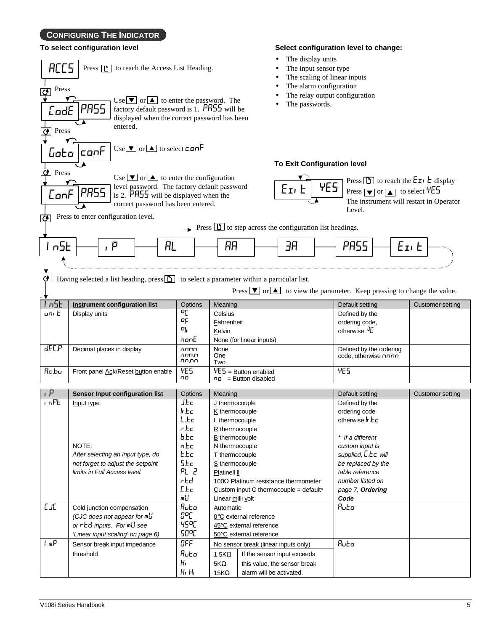### **CONFIGURING THE INDICATOR**

#### **To select configuration level**

| ACCS<br>Press $\boxed{\uparrow}$ to reach the Access List Heading.<br>Press<br>ক<br>Use $\bullet$ or $\bullet$ to enter the password. The<br>PRSS<br>factory default password is 1. PR55 will be<br>CodE<br>displayed when the correct password has been<br>entered.<br>$\boxed{\bullet}$ Press |                                                                                                                                                                                                                                       |                                |                                                                                                                                                                                                         |                                                   | The display units<br>The input sensor type<br>The alarm configuration<br>The passwords. |                                                                                                                                                    | The scaling of linear inputs<br>The relay output configuration                                            |                                                                                                                                       |
|-------------------------------------------------------------------------------------------------------------------------------------------------------------------------------------------------------------------------------------------------------------------------------------------------|---------------------------------------------------------------------------------------------------------------------------------------------------------------------------------------------------------------------------------------|--------------------------------|---------------------------------------------------------------------------------------------------------------------------------------------------------------------------------------------------------|---------------------------------------------------|-----------------------------------------------------------------------------------------|----------------------------------------------------------------------------------------------------------------------------------------------------|-----------------------------------------------------------------------------------------------------------|---------------------------------------------------------------------------------------------------------------------------------------|
| Goto                                                                                                                                                                                                                                                                                            | $Use \nightharpoondown$ or $\blacktriangle$ to select can F<br>lconF                                                                                                                                                                  |                                |                                                                                                                                                                                                         |                                                   |                                                                                         |                                                                                                                                                    |                                                                                                           |                                                                                                                                       |
| $\boxed{\bullet}$ Press                                                                                                                                                                                                                                                                         |                                                                                                                                                                                                                                       |                                |                                                                                                                                                                                                         |                                                   | <b>To Exit Configuration level</b>                                                      |                                                                                                                                                    |                                                                                                           |                                                                                                                                       |
| ConF<br>কো                                                                                                                                                                                                                                                                                      | Use $\bullet$ or $\bullet$ to enter the configuration<br>level password. The factory default password<br>PRSS<br>is 2. $PHS5$ will be displayed when the<br>correct password has been entered.<br>Press to enter configuration level. |                                |                                                                                                                                                                                                         |                                                   | $E$ <sub>I</sub> , $E$                                                                  | YE5                                                                                                                                                | Press $\boxed{\blacktriangledown}$ or $\boxed{\blacktriangle}$ to select $\frac{\forall E5}{ }$<br>Level. | Press $\boxed{\phantom{a}}$ to reach the $E\_\text{I}$ $\phantom{E}$ $\phantom{E}$ display<br>The instrument will restart in Operator |
|                                                                                                                                                                                                                                                                                                 |                                                                                                                                                                                                                                       |                                |                                                                                                                                                                                                         |                                                   | $\rightarrow$ Press $\boxed{D}$ to step across the configuration list headings.         |                                                                                                                                                    |                                                                                                           |                                                                                                                                       |
| l n5E                                                                                                                                                                                                                                                                                           | AL<br>,  P                                                                                                                                                                                                                            |                                | RR                                                                                                                                                                                                      |                                                   | ЭR                                                                                      |                                                                                                                                                    | PRSS                                                                                                      | $E_{I}$ , $E$                                                                                                                         |
| <u>lo l</u>                                                                                                                                                                                                                                                                                     | Having selected a list heading, $press$ to select a parameter within a particular list.                                                                                                                                               |                                |                                                                                                                                                                                                         |                                                   |                                                                                         |                                                                                                                                                    |                                                                                                           | Press $\boxed{\blacktriangledown}$ or $\boxed{\blacktriangle}$ to view the parameter. Keep pressing to change the value.              |
| l n5E<br>uni E                                                                                                                                                                                                                                                                                  | <b>Instrument configuration list</b><br>Display units                                                                                                                                                                                 | Options<br>ᅂ<br>ᅂ<br>마<br>nonE | Meaning<br>Celsius<br>Fahrenheit<br>Kelvin<br>None (for linear inputs)                                                                                                                                  |                                                   |                                                                                         | Default setting<br>Defined by the<br>ordering code,<br>otherwise <sup>D</sup> L                                                                    | Customer setting                                                                                          |                                                                                                                                       |
| <b>dECP</b>                                                                                                                                                                                                                                                                                     | Decimal places in display                                                                                                                                                                                                             | nnnn<br>nnnn<br>nn.nn          | None<br>One<br>Two                                                                                                                                                                                      |                                                   | Defined by the ordering<br>code, otherwise nnnn                                         |                                                                                                                                                    |                                                                                                           |                                                                                                                                       |
| <b>Rc.bu</b>                                                                                                                                                                                                                                                                                    | Front panel Ack/Reset button enable                                                                                                                                                                                                   | 4E5<br>πo                      | $\overline{VE}$ = Button enabled<br>$n =$ Button disabled                                                                                                                                               |                                                   | <b>YES</b>                                                                              |                                                                                                                                                    |                                                                                                           |                                                                                                                                       |
|                                                                                                                                                                                                                                                                                                 | Sensor Input configuration list                                                                                                                                                                                                       | Options                        | Meaning                                                                                                                                                                                                 |                                                   |                                                                                         |                                                                                                                                                    | Default setting                                                                                           | <b>Customer setting</b>                                                                                                               |
| i nPE                                                                                                                                                                                                                                                                                           | J.Ec<br>Input type<br>hEc<br>L.Ec<br>r Ec                                                                                                                                                                                             |                                | J thermocouple<br>K thermocouple<br>$L$ thermocouple<br>R thermocouple                                                                                                                                  |                                                   | Defined by the<br>ordering code<br>otherwise $\frac{1}{2}$ $\frac{1}{2}$ $\frac{1}{2}$  |                                                                                                                                                    |                                                                                                           |                                                                                                                                       |
| b.Łc<br>n.Ec<br>NOTE:<br><b>E</b> EC<br>After selecting an input type, do<br>5.Ec<br>not forget to adjust the setpoint<br>limits in Full Access level.<br>rEd<br>[ Lc<br>m∐                                                                                                                     |                                                                                                                                                                                                                                       | PL 2                           | B thermocouple<br>$N$ thermocouple<br>$I$ thermocouple<br>S thermocouple<br>Platinell II<br>100 $\Omega$ Platinum resistance thermometer<br>Custom input C thermocouple = default*<br>Linear milli volt |                                                   |                                                                                         | * If a different<br>custom input is<br>supplied, LEC will<br>be replaced by the<br>table reference<br>number listed on<br>page 7, Ordering<br>Code |                                                                                                           |                                                                                                                                       |
| EТ<br>Ruto<br>Cold junction compensation<br>9°C<br>(CJC does not appear for $mU$<br>4500<br>orred inputs. Formul see                                                                                                                                                                            |                                                                                                                                                                                                                                       | 50°C                           | <b>Automatic</b>                                                                                                                                                                                        | 0°C external reference<br>45°C external reference |                                                                                         |                                                                                                                                                    | Ruto                                                                                                      |                                                                                                                                       |
| ImP                                                                                                                                                                                                                                                                                             | 'Linear input scaling' on page 6)<br>$\overline{\mathsf{OFF}}$<br>Sensor break input impedance<br>Ruto<br>threshold<br>$H_I$<br>$H1$ $H1$                                                                                             |                                | 50°C external reference<br>No sensor break (linear inputs only)<br>If the sensor input exceeds<br>$1.5K\Omega$<br>$5K\Omega$<br>this value, the sensor break<br>alarm will be activated.<br>$15K\Omega$ |                                                   | Ruto                                                                                    |                                                                                                                                                    |                                                                                                           |                                                                                                                                       |

**Select configuration level to change:**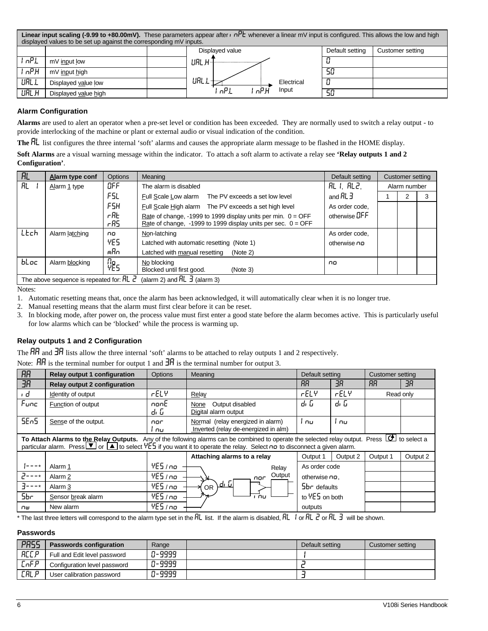|              | <b>Linear input scaling (-9.99 to +80.00mV).</b> These parameters appear after $\mathbf{r}$ $\mathbf{r}$ whenever a linear mV input is configured. This allows the low and high<br>displayed values to be set up against the corresponding mV inputs. |  |                      |                 |                  |  |  |
|--------------|-------------------------------------------------------------------------------------------------------------------------------------------------------------------------------------------------------------------------------------------------------|--|----------------------|-----------------|------------------|--|--|
|              |                                                                                                                                                                                                                                                       |  | Displayed value      | Default setting | Customer setting |  |  |
| nP1          | mV input low                                                                                                                                                                                                                                          |  | url H-I              |                 |                  |  |  |
| , nP.H       | mV input high                                                                                                                                                                                                                                         |  |                      | 50              |                  |  |  |
| URL L        | Displayed value low                                                                                                                                                                                                                                   |  | URL 1<br>Electrical  |                 |                  |  |  |
| <b>UAL H</b> | Displayed value high                                                                                                                                                                                                                                  |  | nP1<br>Input<br>nP.H | 50              |                  |  |  |

#### **Alarm Configuration**

**Alarms** are used to alert an operator when a pre-set level or condition has been exceeded. They are normally used to switch a relay output - to provide interlocking of the machine or plant or external audio or visual indication of the condition.

**The** AL list configures the three internal 'soft' alarms and causes the appropriate alarm message to be flashed in the HOME display.

**Soft Alarms** are a visual warning message within the indicator. To attach a soft alarm to activate a relay see **'Relay outputs 1 and 2 Configuration'**.

| $\overline{R}$ | Alarm type conf                                                                                                             | <b>Options</b> | Meaning                                                        | Default setting    |              | Customer setting |   |  |
|----------------|-----------------------------------------------------------------------------------------------------------------------------|----------------|----------------------------------------------------------------|--------------------|--------------|------------------|---|--|
| <b>RL</b>      | Alarm 1 type                                                                                                                | OFF            | The alarm is disabled                                          | AL I. AL2.         | Alarm number |                  |   |  |
|                |                                                                                                                             | F5L.           | Full Scale Low alarm<br>The PV exceeds a set low level         | and $HL$ $\exists$ |              |                  | 3 |  |
|                |                                                                                                                             | F5H            | Full Scale High alarm The PV exceeds a set high level          | As order code.     |              |                  |   |  |
|                |                                                                                                                             | rfib           | Rate of change, -1999 to 1999 display units per min. $0 = OFF$ | otherwise DFF      |              |                  |   |  |
|                |                                                                                                                             | rRS.           | Rate of change, -1999 to 1999 display units per sec. $0 =$ OFF |                    |              |                  |   |  |
| LEch           | Alarm latching                                                                                                              | no.            | Non-latching                                                   | As order code.     |              |                  |   |  |
|                |                                                                                                                             | YES            | Latched with automatic resetting (Note 1)                      | otherwise no       |              |                  |   |  |
|                |                                                                                                                             | mRn            | Latched with manual resetting<br>(Note 2)                      |                    |              |                  |   |  |
| bLoc           | Alarm blocking                                                                                                              | По<br>YES      | No blocking                                                    | no                 |              |                  |   |  |
|                |                                                                                                                             |                | Blocked until first good.<br>(Note 3)                          |                    |              |                  |   |  |
|                | (alarm 2) and $\overline{H}$ $\overline{J}$ (alarm 3)<br>The above sequence is repeated for: $\overline{HL}$ $\overline{C}$ |                |                                                                |                    |              |                  |   |  |

Notes:

1. Automatic resetting means that, once the alarm has been acknowledged, it will automatically clear when it is no longer true.

2. Manual resetting means that the alarm must first clear before it can be reset.

3. In blocking mode, after power on, the process value must first enter a good state before the alarm becomes active. This is particularly useful for low alarms which can be 'blocked' while the process is warming up.

#### **Relay outputs 1 and 2 Configuration**

The  ${\sf H}{\sf H}$  and  ${\sf H}{\sf H}$  lists allow the three internal 'soft' alarms to be attached to relay outputs 1 and 2 respectively.

Note:  $\overrightarrow{HH}$  is the terminal number for output 1 and  $\overrightarrow{HR}$  is the terminal number for output 3.

| <b>RR</b> | <b>Relay output 1 configuration</b>                                                                                                                                                                                                                                                                             | Options      | Meaning                                                                   | Default setting |          | Customer setting |          |
|-----------|-----------------------------------------------------------------------------------------------------------------------------------------------------------------------------------------------------------------------------------------------------------------------------------------------------------------|--------------|---------------------------------------------------------------------------|-----------------|----------|------------------|----------|
| <b>HE</b> | <b>Relay output 2 configuration</b>                                                                                                                                                                                                                                                                             |              |                                                                           | RR              | ЭR       | RR               | ЗR       |
| ı d       | Identity of output                                                                                                                                                                                                                                                                                              | FELY         | Relay                                                                     | rELY            | rELY     | Read only        |          |
| Func      | Function of output                                                                                                                                                                                                                                                                                              | nonE<br>dı D | Output disabled<br>None<br>Digital alarm output                           | q, p            | q' ը     |                  |          |
| SEn5      | Sense of the output.                                                                                                                                                                                                                                                                                            | nor<br>nu.   | Normal (relay energized in alarm)<br>Inverted (relay de-energized in alm) | l nu.           | i nu i   |                  |          |
|           | To Attach Alarms to the Relay Outputs. Any of the following alarms can be combined to operate the selected relay output. Press $[G]$ to select a<br>particular alarm. Press $\blacksquare$ or $\blacksquare$ to select $\forall$ ES if you want it to operate the relay. Select no to disconnect a given alarm. |              |                                                                           |                 |          |                  |          |
|           |                                                                                                                                                                                                                                                                                                                 |              | Attaching alarms to a relay                                               | Output 1        | Output 2 | Output 1         | Output 2 |
|           | Alarm 1                                                                                                                                                                                                                                                                                                         | YES / no     | Relay                                                                     | As order code   |          |                  |          |
|           | Alarm 2                                                                                                                                                                                                                                                                                                         | 4E5/no       | Output<br>nor                                                             | otherwise no.   |          |                  |          |
| $7 - - -$ | Alarm 3                                                                                                                                                                                                                                                                                                         | 4E5/no       | <u>d, G</u><br><b>OR</b>                                                  | $5br$ defaults  |          |                  |          |
| 5br       | Sensor break alarm                                                                                                                                                                                                                                                                                              | 4E5/no       | nu.                                                                       | to YES on both  |          |                  |          |
| Пш        | New alarm                                                                                                                                                                                                                                                                                                       | YES / no     |                                                                           | outputs         |          |                  |          |

\* The last three letters will correspond to the alarm type set in the  $RL$  list. If the alarm is disabled,  $RL$  or  $RL$   $\geq$  or  $RL$   $\geq$  will be shown.

#### **Passwords**

| PR55        | <b>Passwords configuration</b> | Range  | Default setting | Customer settina |
|-------------|--------------------------------|--------|-----------------|------------------|
| <b>RCCP</b> | Full and Edit level password   | 0-9999 |                 |                  |
| [nF.P       | Configuration level password   | 0-9999 |                 |                  |
| <b>CALP</b> | User calibration password      | 0-9999 |                 |                  |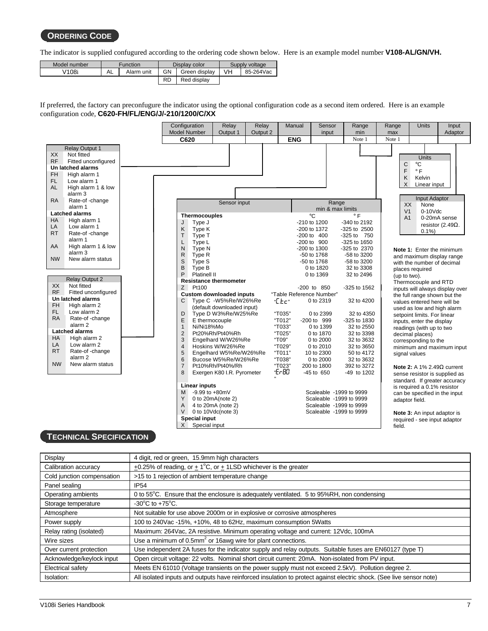#### **ORDERING CODE**

The indicator is supplied confugured according to the ordering code shown below. Here is an example model number **V108-AL/GN/VH.**

| Model number | <b>Function</b> |            |           | Display color | Supply voltage |           |  |
|--------------|-----------------|------------|-----------|---------------|----------------|-----------|--|
| V108i        | AL              | Alarm unit | GN        | Green display | VH             | 85-264Vac |  |
|              |                 |            | <b>RD</b> | Red display   |                |           |  |

If preferred, the factory can preconfugure the indicator using the optional configuration code as a second item ordered. Here is an example configuration code, **C620-FH/FL/ENG/J/-210/1200/C/XX**



#### **TECHNICAL SPECIFICATION**

| Display                    | 4 digit, red or green, 15.9mm high characters                                                                        |
|----------------------------|----------------------------------------------------------------------------------------------------------------------|
| Calibration accuracy       | $\pm$ 0.25% of reading, or $\pm$ 1°C, or $\pm$ 1LSD whichever is the greater                                         |
| Cold junction compensation | >15 to 1 rejection of ambient temperature change                                                                     |
| Panel sealing              | <b>IP54</b>                                                                                                          |
| Operating ambients         | 0 to 55 <sup>°</sup> C. Ensure that the enclosure is adequately ventilated. 5 to 95%RH, non condensing               |
| Storage temperature        | $-30^{\circ}$ C to $+75^{\circ}$ C.                                                                                  |
| Atmosphere                 | Not suitable for use above 2000m or in explosive or corrosive atmospheres                                            |
| Power supply               | 100 to 240 Vac - 15%, + 10%, 48 to 62 Hz, maximum consumption 5 Watts                                                |
| Relay rating (isolated)    | Maximum: 264Vac, 2A resistive. Minimum operating voltage and current: 12Vdc, 100mA                                   |
| Wire sizes                 | Use a minimum of $0.5$ mm <sup>2</sup> or 16awg wire for plant connections.                                          |
| Over current protection    | Use independent 2A fuses for the indicator supply and relay outputs. Suitable fuses are EN60127 (type T)             |
| Acknowledge/keylock input  | Open circuit voltage: 22 volts. Nominal short circuit current: 20mA. Non-isolated from PV input.                     |
| Electrical safety          | Meets EN 61010 (Voltage transients on the power supply must not exceed 2.5kV). Pollution degree 2.                   |
| Isolation:                 | All isolated inputs and outputs have reinforced insulation to protect against electric shock. (See live sensor note) |